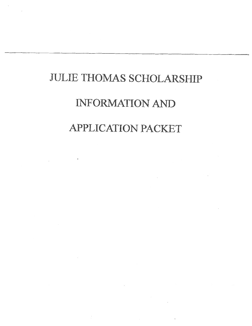# **JULIE THOMAS SCHOLARSHIP**

# **INFORMATION AND APPLICATION PACKET**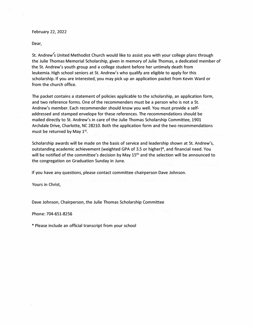### **February 22, 2022**

**Dear,**

**St. Andrew's United Methodist Church would like to assist you with your college plans through the Julie Thomas Memorial Scholarship, given in memory of Julie Thomas, a dedicated member of the St. Andrew's youth group and a college student before her untimely death from leukemia. High school seniors at St. Andrew's who qualify are eligible to apply for this scholarship. If you are interested, you may pick up an application packet from Kevin Ward or from the church office.**

**The packet contains a statement of policies applicable to the scholarship, an application form, and two reference forms. One of the recommenders must be a person who is not a St. Andrew's member. Each recommender should know you well. You must provide a selfaddressed and stamped envelope for these references. The recommendations should be mailed directly to St. Andrew's in care of the Julie Thomas Scholarship Committee, 1901 Archdale Drive, Charlotte, NC 28210. Both the application form and the two recommendations must be returned by May 1st .**

**Scholarship awards will be made on the basis of service and leadership shown at St. Andrew's, outstanding academic achievement (weighted GPA of 3.5 or higher)\*, and financial need. You will be notified of the committee's decision by May 15th and the selection will be announced to the congregation on Graduation Sunday in June.**

**If you have any questions, please contact committee chairperson Dave Johnson.**

**Yours in Christ,**

**Dave Johnson, Chairperson, the Julie Thomas Scholarship Committee**

**Phone: 704-651-8256**

**\* Please include an official transcript from your school**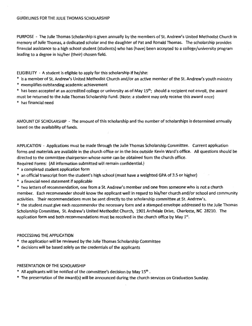PURPOSE - The Julie Thomas Scholarship is given annually by the members of St. Andrew's United Methodist Church in memory of Julie Thomas, a dedicated scholar and the daughter of Pat and Ronald Thomas. The scholarship provides financial assistance to a high school student (students) who has (have) been accepted to a college/university program leading to a degree in his/her (their) chosen field.

ELIGIBILITY - A student is eligible to apply for this scholarship if he/she:

- \* is a member of St. Andrew's United Methodist Church and/or an active member of the St. Andrew's youth ministry
- \* exemplifies outstanding academic achievement

\* has been accepted at an accredited college or university as of May 15<sup>th</sup>; should a recipient not enroll, the award must be returned to the Julie Thomas Scholarship Fund. (Note: a student may only receive this award once)

\* has financial need

AMOUNT OF SCHOLARSHIP - The amount of this scholarship and the number of scholarships is determined annually based on the availability of funds.

APPLICATION - Applications must be made through the Julie Thomas Scholarship Committee. Current application forms and materials are available in the church office or in the box outside Kevin Ward's office. All questions should be directed to the committee chairperson whose name can be obtained from the church office.

Required Forms: (All information submitted will remain confidential.)

- \* a completed student application form
- \* an official transcript from the student's high school (must have a weighted GPA of 3.5 or higher)
- \* a financial need statement if applicable
- \* two letters of recommendation, one from a St. Andrew's member and one from someone who is not a church member. Each recommender should know the applicant well in regard to his/her church and/or school and community activities. Their recommendations must be sent directly to the scholarship committee at St. Andrew's.

\* the student must give each recommender the necessary form and a stamped envelope addressed to the Julie Thomas Scholarship Committee, St. Andrew's United Methodist Church, 1901 Archdale Drive, Charlotte, NC 28210. The application form and both recommendations must be received in the church office by May 1st.

# PROCESSING THE APPLICATION

\* the application will be reviewed by the Julie Thomas Scholarship Committee

\* decisions will be based solely on the credentials of the applicants

# PRESENTATION OF THE SCHOLARSHIP

- \* All applicants will be notified of the committee's decision by May 15<sup>th</sup>.
- \* The presentation of the award(s) will be announced during the church services on Graduation Sunday.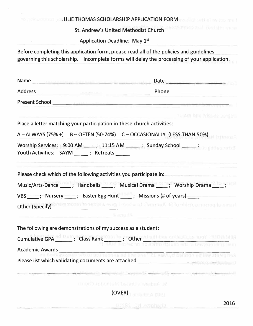|                                                                                         | <b>TO A 2000 THE THOMAS SCHOLARSHIP APPLICATION FORM TWO AND THE REAL PROPERTY OF A 2000 THE REAL PROPERTY OF A 2000 THE REAL PROPERTY OF A 2000 THE REAL PROPERTY OF A 2000 THE REAL PROPERTY OF A 2000 THE REAL PROPERTY OF A </b> |
|-----------------------------------------------------------------------------------------|--------------------------------------------------------------------------------------------------------------------------------------------------------------------------------------------------------------------------------------|
|                                                                                         | St. Andrew's United Methodist Church                                                                                                                                                                                                 |
| Application Deadline: May 1st                                                           |                                                                                                                                                                                                                                      |
| Before completing this application form, please read all of the policies and guidelines | governing this scholarship. Incomplete forms will delay the processing of your application.                                                                                                                                          |
|                                                                                         |                                                                                                                                                                                                                                      |
|                                                                                         |                                                                                                                                                                                                                                      |
|                                                                                         | Present School <u>and a state of the contractor of the contractor</u>                                                                                                                                                                |
|                                                                                         | Degree sought and mail and                                                                                                                                                                                                           |
| Place a letter matching your participation in these church activities:                  |                                                                                                                                                                                                                                      |
|                                                                                         | A-ALWAYS (75% +) B-OFTEN (50-74%) C-OCCASIONALLY (LESS THAN 50%)                                                                                                                                                                     |
| Youth Activities: SAYM __ __; Retreats _____                                            | Worship Services: 9:00 AM ____; 11:15 AM _____; Sunday School _____;                                                                                                                                                                 |
| Please check which of the following activities you participate in:                      |                                                                                                                                                                                                                                      |
|                                                                                         | Music/Arts-Dance _____; Handbells _____; Musical Drama _____; Worship Drama _____;                                                                                                                                                   |
| VBS _____; Nursery ______; Easter Egg Hunt ______; Missions (# of years) ______         |                                                                                                                                                                                                                                      |
|                                                                                         | Other (Specify) brantmoosi foriations were into a at a warbita de to ablatuo noerod to smart                                                                                                                                         |
|                                                                                         | N consider                                                                                                                                                                                                                           |
| The following are demonstrations of my success as a student:                            |                                                                                                                                                                                                                                      |
|                                                                                         | Cumulative GPA ad taum, "Class Rank" <sup>0391</sup> ; Other wf and base on the light two Y all Districts by                                                                                                                         |
|                                                                                         | Academic Awards<br>And no novisies which be incontracted like bina "21 year yet behind and like zinergios R                                                                                                                          |
|                                                                                         |                                                                                                                                                                                                                                      |
|                                                                                         | Alternative distance with a second of the solution of Termina and the second distance dealing<br>st. Andrew J. Daniel Wethods (Record)                                                                                               |
|                                                                                         | (OVER) alabama 1001                                                                                                                                                                                                                  |
|                                                                                         | 2016<br>Charlotte NC 28210                                                                                                                                                                                                           |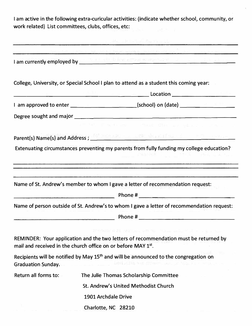**I am active in the following extra-curicular activities: (indicate whether school, community, or work related) List committees, clubs, offices, etc:** 

|                           | <b>LOT 20 UP Link and Rain Link of A State</b>                                                                                                                                                                                       |
|---------------------------|--------------------------------------------------------------------------------------------------------------------------------------------------------------------------------------------------------------------------------------|
|                           | I am currently employed by <b>the contract of the contract of the contract of the contract of the contract of the contract of the contract of the contract of the contract of the contract of the contract of the contract of th</b> |
|                           |                                                                                                                                                                                                                                      |
|                           | College, University, or Special School I plan to attend as a student this coming year:                                                                                                                                               |
|                           | <u> Location — Expedition — Expedition — Expedition — Expedition — Expedition — Expedition — Expedition — Expedition — Expedition — Expedition — Expedition — Expedition — Expedition — Expedition — Expedition — Expedition — E</u> |
|                           |                                                                                                                                                                                                                                      |
|                           |                                                                                                                                                                                                                                      |
|                           | Site Policines of these filler are placed of No. 1 of                                                                                                                                                                                |
|                           | Parent(s) Name(s) and Address; And Maria and a part of the contract of the contract of                                                                                                                                               |
|                           | Extenuating circumstances preventing my parents from fully funding my college education?                                                                                                                                             |
|                           |                                                                                                                                                                                                                                      |
|                           | Name of person outside of St. Andrew's to whom I gave a letter of recommendation request:                                                                                                                                            |
|                           |                                                                                                                                                                                                                                      |
|                           | IT COME A 24 MM Link WT TO "Thing mind" at a sign has                                                                                                                                                                                |
|                           | REMINDER: Your application and the two letters of recommendation must be returned by<br>mail and received in the church office on or before MAY 1st.                                                                                 |
| <b>Graduation Sunday.</b> | Recipients will be notified by May 15 <sup>th</sup> and will be announced to the congregation on<br>10001000010000 STOROOL INC. JE-5651 J L L LOTON                                                                                  |
| Return all forms to:      | The Julie Thomas Scholarship Committee                                                                                                                                                                                               |
|                           | St. Andrew's United Methodist Church                                                                                                                                                                                                 |
|                           | 1901 Archdale Drive                                                                                                                                                                                                                  |
|                           | Charlotte, NC 28210                                                                                                                                                                                                                  |
|                           |                                                                                                                                                                                                                                      |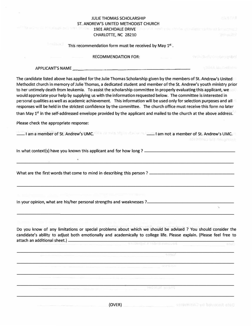| <b>JULIE THOMAS SCHOLARSHIP</b>                                                                                                                                                                                                                                                                                                                                                                                                                                                                                                                                                                                                                                                                                                                                                                                                                                            | 29. MTAR                                               |
|----------------------------------------------------------------------------------------------------------------------------------------------------------------------------------------------------------------------------------------------------------------------------------------------------------------------------------------------------------------------------------------------------------------------------------------------------------------------------------------------------------------------------------------------------------------------------------------------------------------------------------------------------------------------------------------------------------------------------------------------------------------------------------------------------------------------------------------------------------------------------|--------------------------------------------------------|
| ST. ANDREW'S UNITED METHODIST CHURCH<br>ILL - 10 Sec - 11 N - 11 N - 11 N - 12 Sec - 12 N - 12 Sec -                                                                                                                                                                                                                                                                                                                                                                                                                                                                                                                                                                                                                                                                                                                                                                       |                                                        |
| <b>1901 ARCHDALE DRIVE</b>                                                                                                                                                                                                                                                                                                                                                                                                                                                                                                                                                                                                                                                                                                                                                                                                                                                 | ANOCH WHO you media gloralistic vactorist beneficially |
| CHARLOTTE, NC 28210                                                                                                                                                                                                                                                                                                                                                                                                                                                                                                                                                                                                                                                                                                                                                                                                                                                        | <b>Sulvyuilet</b>                                      |
| firente red<br>This recommendation form must be received by May 1st.                                                                                                                                                                                                                                                                                                                                                                                                                                                                                                                                                                                                                                                                                                                                                                                                       |                                                        |
| <b>RECOMMENDATION FOR:</b>                                                                                                                                                                                                                                                                                                                                                                                                                                                                                                                                                                                                                                                                                                                                                                                                                                                 | wowderlycredinggebnl                                   |
| APPLICANT'S NAME                                                                                                                                                                                                                                                                                                                                                                                                                                                                                                                                                                                                                                                                                                                                                                                                                                                           | ville in melletni                                      |
| The candidate listed above has applied for the Julie Thomas Scholarship given by the members of St. Andrew's United<br>Methodist church in memory of Julie Thomas, a dedicated student and member of the St. Andrew's youth ministry prior<br>to her untimely death from leukemia. To assist the scholarship committee in properly evaluating this applicant, we<br>would appreciate your help by supplying us with the information requested below. The committee is interested in<br>personal qualities as well as academic achievement. This information will be used only for selection purposes and all<br>responses will be held in the strictest confidence by the committee. The church office must receive this form no later<br>than May 1 <sup>st</sup> in the self-addressed envelope provided by the applicant and mailed to the church at the above address. |                                                        |
| Please check the appropriate response:                                                                                                                                                                                                                                                                                                                                                                                                                                                                                                                                                                                                                                                                                                                                                                                                                                     |                                                        |
| - I am a member of St. Andrew's UMC. Compared to the control of St. Andrew's UMC.                                                                                                                                                                                                                                                                                                                                                                                                                                                                                                                                                                                                                                                                                                                                                                                          | stributes and the cambiants                            |
|                                                                                                                                                                                                                                                                                                                                                                                                                                                                                                                                                                                                                                                                                                                                                                                                                                                                            |                                                        |
| In your opinion, what are his/her personal strengths and weaknesses ?                                                                                                                                                                                                                                                                                                                                                                                                                                                                                                                                                                                                                                                                                                                                                                                                      | 'N.                                                    |
| Do you know of any limitations or special problems about which we should be advised ? You should consider the<br>candidate's ability to adjust both emotionally and academically to college life. Please explain. (Please feel free to<br>attach an additional sheet.) _<br>Service State Shows in the State State State State State State State State State State State State State State                                                                                                                                                                                                                                                                                                                                                                                                                                                                                 |                                                        |
|                                                                                                                                                                                                                                                                                                                                                                                                                                                                                                                                                                                                                                                                                                                                                                                                                                                                            |                                                        |
| SITEP                                                                                                                                                                                                                                                                                                                                                                                                                                                                                                                                                                                                                                                                                                                                                                                                                                                                      |                                                        |
|                                                                                                                                                                                                                                                                                                                                                                                                                                                                                                                                                                                                                                                                                                                                                                                                                                                                            |                                                        |
|                                                                                                                                                                                                                                                                                                                                                                                                                                                                                                                                                                                                                                                                                                                                                                                                                                                                            |                                                        |
| 19081210 900129                                                                                                                                                                                                                                                                                                                                                                                                                                                                                                                                                                                                                                                                                                                                                                                                                                                            |                                                        |

**\_\_\_\_\_\_\_\_\_\_\_\_\_\_\_\_\_\_\_\_\_\_\_\_\_\_\_\_\_\_\_\_\_\_\_\_\_\_\_\_\_\_\_\_\_\_\_\_\_\_\_\_\_\_\_**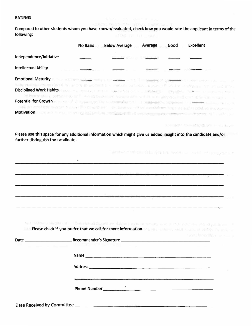### **RATINGS**

**Compared to other students whom you have known/evaluated, check how you would rate the applicant in terms of the following:** 

|                                                                                                                                                                                                                                                                                                                                                                                                                                                                            | <b>No Basis</b> | <b>Below Average</b> | Average | <b>Excellent</b><br>Good               |                     |
|----------------------------------------------------------------------------------------------------------------------------------------------------------------------------------------------------------------------------------------------------------------------------------------------------------------------------------------------------------------------------------------------------------------------------------------------------------------------------|-----------------|----------------------|---------|----------------------------------------|---------------------|
| Independence/Initiative                                                                                                                                                                                                                                                                                                                                                                                                                                                    |                 |                      |         |                                        |                     |
| <b>Intellectual Ability</b>                                                                                                                                                                                                                                                                                                                                                                                                                                                |                 |                      |         |                                        |                     |
| Emotional Maturity # Material and patient and patient and patient and the material and patients are all                                                                                                                                                                                                                                                                                                                                                                    |                 |                      |         |                                        |                     |
| come working offering word. We are provided additional as interesting parts forced a come of the company of additional<br>Disciplined Work Habits at the community of the community of the community of the community of the community of the community of the community of the community of the community of the community of the community of the comm<br>of departments settimates and consideration of advanced to set alone in annotocological and unity air consists |                 |                      |         |                                        |                     |
| Potential for Growth and contribution and contract the contraction of the pressure of the second contract of the contract of                                                                                                                                                                                                                                                                                                                                               |                 |                      |         |                                        |                     |
| was well on a highly similar south topical building building and the class of the street the form in a band later<br>Motivation and a change of a smoglishem but a section of the distribution comes for the control of a valid of                                                                                                                                                                                                                                         |                 |                      |         |                                        |                     |
|                                                                                                                                                                                                                                                                                                                                                                                                                                                                            |                 |                      |         | 그녀는 내용한 그들은 도움이 많은 것이 모르는              |                     |
| Please use this space for any additional information which might give us added insight into the candidate and/or<br>further distinguish the candidate.                                                                                                                                                                                                                                                                                                                     |                 |                      |         |                                        |                     |
|                                                                                                                                                                                                                                                                                                                                                                                                                                                                            |                 |                      |         |                                        |                     |
|                                                                                                                                                                                                                                                                                                                                                                                                                                                                            |                 |                      |         |                                        |                     |
|                                                                                                                                                                                                                                                                                                                                                                                                                                                                            |                 |                      |         | with the company of the company of the |                     |
|                                                                                                                                                                                                                                                                                                                                                                                                                                                                            |                 |                      |         |                                        |                     |
|                                                                                                                                                                                                                                                                                                                                                                                                                                                                            |                 |                      |         |                                        |                     |
|                                                                                                                                                                                                                                                                                                                                                                                                                                                                            |                 |                      |         |                                        |                     |
|                                                                                                                                                                                                                                                                                                                                                                                                                                                                            |                 |                      |         |                                        |                     |
|                                                                                                                                                                                                                                                                                                                                                                                                                                                                            |                 |                      |         |                                        |                     |
|                                                                                                                                                                                                                                                                                                                                                                                                                                                                            |                 |                      |         |                                        |                     |
| <b>Example 20 Please check if you prefer that we call for more information.</b> We allow the contract that the contract of                                                                                                                                                                                                                                                                                                                                                 |                 |                      |         | 전문 보니 만드는 다음 아이들은 그 아시아 안정 노르기 때문이 있다. |                     |
|                                                                                                                                                                                                                                                                                                                                                                                                                                                                            |                 |                      |         |                                        | a softwedisk social |
|                                                                                                                                                                                                                                                                                                                                                                                                                                                                            |                 |                      |         |                                        |                     |
|                                                                                                                                                                                                                                                                                                                                                                                                                                                                            |                 |                      |         |                                        |                     |
|                                                                                                                                                                                                                                                                                                                                                                                                                                                                            |                 |                      |         |                                        |                     |
|                                                                                                                                                                                                                                                                                                                                                                                                                                                                            |                 |                      |         |                                        |                     |

**Phone Number \_\_\_\_\_\_\_\_\_\_\_\_\_\_\_\_\_\_\_\_ \_** 

| Date Received by Committee |  |
|----------------------------|--|
|----------------------------|--|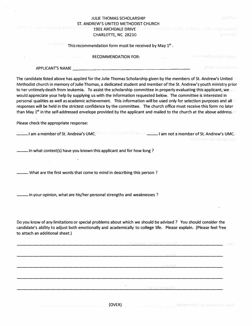|                                 |                                              | <b>JULIE THOMAS SCHOLARSHIP</b>                                                                                                                                                                                                                                                                                                                                                                                                                                                                                                                                                                                                                                                                                                                                                                                                                                            |                      | <b>BERTHERIC</b>                                                                  |
|---------------------------------|----------------------------------------------|----------------------------------------------------------------------------------------------------------------------------------------------------------------------------------------------------------------------------------------------------------------------------------------------------------------------------------------------------------------------------------------------------------------------------------------------------------------------------------------------------------------------------------------------------------------------------------------------------------------------------------------------------------------------------------------------------------------------------------------------------------------------------------------------------------------------------------------------------------------------------|----------------------|-----------------------------------------------------------------------------------|
|                                 | soft for minimum constitute and sear bijects | ST. ANDREW'S UNITED METHODIST CHURCH                                                                                                                                                                                                                                                                                                                                                                                                                                                                                                                                                                                                                                                                                                                                                                                                                                       |                      |                                                                                   |
|                                 |                                              | <b>1901 ARCHDALE DRIVE</b>                                                                                                                                                                                                                                                                                                                                                                                                                                                                                                                                                                                                                                                                                                                                                                                                                                                 |                      | protect move to collect a conduct when your horizon of<br>in <sup>stan</sup> tika |
|                                 |                                              | CHARLOTTE, NC 28210                                                                                                                                                                                                                                                                                                                                                                                                                                                                                                                                                                                                                                                                                                                                                                                                                                                        |                      |                                                                                   |
|                                 | <b>Industria</b>                             | This recommendation form must be received by May 1st.                                                                                                                                                                                                                                                                                                                                                                                                                                                                                                                                                                                                                                                                                                                                                                                                                      |                      |                                                                                   |
|                                 |                                              | <b>RECOMMENDATION FOR:</b>                                                                                                                                                                                                                                                                                                                                                                                                                                                                                                                                                                                                                                                                                                                                                                                                                                                 |                      | Industrial examples of the                                                        |
|                                 |                                              | APPLICANT'S NAME                                                                                                                                                                                                                                                                                                                                                                                                                                                                                                                                                                                                                                                                                                                                                                                                                                                           |                      | VIIIdé municipion                                                                 |
|                                 |                                              | The candidate listed above has applied for the Julie Thomas Scholarship given by the members of St. Andrew's United<br>Methodist church in memory of Julie Thomas, a dedicated student and member of the St. Andrew's youth ministry prior<br>to her untimely death from leukemia. To assist the scholarship committee in properly evaluating this applicant, we<br>would appreciate your help by supplying us with the information requested below. The committee is interested in<br>personal qualities as well as academic achievement. This information will be used only for selection purposes and all<br>responses will be held in the strictest confidence by the committee. The church office must receive this form no later<br>than May 1 <sup>st</sup> in the self-addressed envelope provided by the applicant and mailed to the church at the above address. |                      |                                                                                   |
|                                 | Please check the appropriate response:       |                                                                                                                                                                                                                                                                                                                                                                                                                                                                                                                                                                                                                                                                                                                                                                                                                                                                            |                      |                                                                                   |
|                                 |                                              | I am a member of St. Andrew's UMC. The state of the state of St. Andrew's UMC.                                                                                                                                                                                                                                                                                                                                                                                                                                                                                                                                                                                                                                                                                                                                                                                             |                      | svebitmes ant daugo gab                                                           |
|                                 |                                              | - In what context(s) have you known this applicant and for how long?                                                                                                                                                                                                                                                                                                                                                                                                                                                                                                                                                                                                                                                                                                                                                                                                       |                      |                                                                                   |
|                                 |                                              | What are the first words that come to mind in describing this person?                                                                                                                                                                                                                                                                                                                                                                                                                                                                                                                                                                                                                                                                                                                                                                                                      |                      |                                                                                   |
|                                 |                                              | In your opinion, what are his/her personal strengths and weaknesses ?                                                                                                                                                                                                                                                                                                                                                                                                                                                                                                                                                                                                                                                                                                                                                                                                      |                      |                                                                                   |
|                                 |                                              |                                                                                                                                                                                                                                                                                                                                                                                                                                                                                                                                                                                                                                                                                                                                                                                                                                                                            |                      | N.                                                                                |
|                                 |                                              |                                                                                                                                                                                                                                                                                                                                                                                                                                                                                                                                                                                                                                                                                                                                                                                                                                                                            |                      |                                                                                   |
| to attach an additional sheet.) |                                              | Do you know of any limitations or special problems about which we should be advised ? You should consider the<br>candidate's ability to adjust both emotionally and academically to college life. Please explain. (Please feel free                                                                                                                                                                                                                                                                                                                                                                                                                                                                                                                                                                                                                                        |                      |                                                                                   |
|                                 |                                              |                                                                                                                                                                                                                                                                                                                                                                                                                                                                                                                                                                                                                                                                                                                                                                                                                                                                            |                      | <b>CHUSS HERE IT IS DOGS IT IN GOOD REPORTS</b>                                   |
|                                 |                                              |                                                                                                                                                                                                                                                                                                                                                                                                                                                                                                                                                                                                                                                                                                                                                                                                                                                                            |                      |                                                                                   |
|                                 |                                              | <u> 1950 - Jan Sterling (f. 1952)</u>                                                                                                                                                                                                                                                                                                                                                                                                                                                                                                                                                                                                                                                                                                                                                                                                                                      |                      | smith the company of the                                                          |
|                                 |                                              |                                                                                                                                                                                                                                                                                                                                                                                                                                                                                                                                                                                                                                                                                                                                                                                                                                                                            |                      | 医皮带性皮肤 经人工公司 医心理学 医心理学 医心理学 医心理学 医心理学                                             |
|                                 |                                              |                                                                                                                                                                                                                                                                                                                                                                                                                                                                                                                                                                                                                                                                                                                                                                                                                                                                            |                      |                                                                                   |
|                                 |                                              |                                                                                                                                                                                                                                                                                                                                                                                                                                                                                                                                                                                                                                                                                                                                                                                                                                                                            | <b>190 WIN 966HR</b> |                                                                                   |
|                                 |                                              |                                                                                                                                                                                                                                                                                                                                                                                                                                                                                                                                                                                                                                                                                                                                                                                                                                                                            |                      |                                                                                   |
|                                 |                                              |                                                                                                                                                                                                                                                                                                                                                                                                                                                                                                                                                                                                                                                                                                                                                                                                                                                                            |                      |                                                                                   |